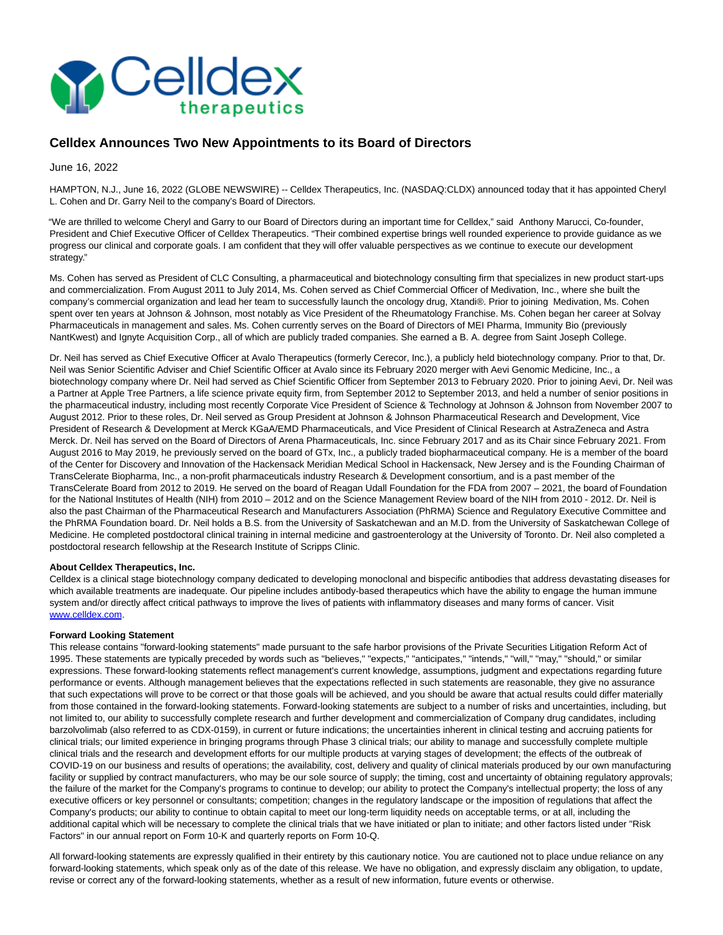

## **Celldex Announces Two New Appointments to its Board of Directors**

June 16, 2022

HAMPTON, N.J., June 16, 2022 (GLOBE NEWSWIRE) -- Celldex Therapeutics, Inc. (NASDAQ:CLDX) announced today that it has appointed Cheryl L. Cohen and Dr. Garry Neil to the company's Board of Directors.

"We are thrilled to welcome Cheryl and Garry to our Board of Directors during an important time for Celldex," said Anthony Marucci, Co-founder, President and Chief Executive Officer of Celldex Therapeutics. "Their combined expertise brings well rounded experience to provide guidance as we progress our clinical and corporate goals. I am confident that they will offer valuable perspectives as we continue to execute our development strategy."

Ms. Cohen has served as President of CLC Consulting, a pharmaceutical and biotechnology consulting firm that specializes in new product start-ups and commercialization. From August 2011 to July 2014, Ms. Cohen served as Chief Commercial Officer of Medivation, Inc., where she built the company's commercial organization and lead her team to successfully launch the oncology drug, Xtandi®. Prior to joining Medivation, Ms. Cohen spent over ten years at Johnson & Johnson, most notably as Vice President of the Rheumatology Franchise. Ms. Cohen began her career at Solvay Pharmaceuticals in management and sales. Ms. Cohen currently serves on the Board of Directors of MEI Pharma, Immunity Bio (previously NantKwest) and Ignyte Acquisition Corp., all of which are publicly traded companies. She earned a B. A. degree from Saint Joseph College.

Dr. Neil has served as Chief Executive Officer at Avalo Therapeutics (formerly Cerecor, Inc.), a publicly held biotechnology company. Prior to that, Dr. Neil was Senior Scientific Adviser and Chief Scientific Officer at Avalo since its February 2020 merger with Aevi Genomic Medicine, Inc., a biotechnology company where Dr. Neil had served as Chief Scientific Officer from September 2013 to February 2020. Prior to joining Aevi, Dr. Neil was a Partner at Apple Tree Partners, a life science private equity firm, from September 2012 to September 2013, and held a number of senior positions in the pharmaceutical industry, including most recently Corporate Vice President of Science & Technology at Johnson & Johnson from November 2007 to August 2012. Prior to these roles, Dr. Neil served as Group President at Johnson & Johnson Pharmaceutical Research and Development, Vice President of Research & Development at Merck KGaA/EMD Pharmaceuticals, and Vice President of Clinical Research at AstraZeneca and Astra Merck. Dr. Neil has served on the Board of Directors of Arena Pharmaceuticals, Inc. since February 2017 and as its Chair since February 2021. From August 2016 to May 2019, he previously served on the board of GTx, Inc., a publicly traded biopharmaceutical company. He is a member of the board of the Center for Discovery and Innovation of the Hackensack Meridian Medical School in Hackensack, New Jersey and is the Founding Chairman of TransCelerate Biopharma, Inc., a non-profit pharmaceuticals industry Research & Development consortium, and is a past member of the TransCelerate Board from 2012 to 2019. He served on the board of Reagan Udall Foundation for the FDA from 2007 – 2021, the board of Foundation for the National Institutes of Health (NIH) from 2010 – 2012 and on the Science Management Review board of the NIH from 2010 - 2012. Dr. Neil is also the past Chairman of the Pharmaceutical Research and Manufacturers Association (PhRMA) Science and Regulatory Executive Committee and the PhRMA Foundation board. Dr. Neil holds a B.S. from the University of Saskatchewan and an M.D. from the University of Saskatchewan College of Medicine. He completed postdoctoral clinical training in internal medicine and gastroenterology at the University of Toronto. Dr. Neil also completed a postdoctoral research fellowship at the Research Institute of Scripps Clinic.

## **About Celldex Therapeutics, Inc.**

Celldex is a clinical stage biotechnology company dedicated to developing monoclonal and bispecific antibodies that address devastating diseases for which available treatments are inadequate. Our pipeline includes antibody-based therapeutics which have the ability to engage the human immune system and/or directly affect critical pathways to improve the lives of patients with inflammatory diseases and many forms of cancer. Visit [www.celldex.com.](https://www.globenewswire.com/Tracker?data=_SVvMFeP6ri3xUZv1CCKfEyqyAChJGKgYooRzUvpk0gLGfjyeO14ByQTBgArXsmIVuJCIHB1Q6kXWZSzyFOfVg==)

## **Forward Looking Statement**

This release contains "forward-looking statements" made pursuant to the safe harbor provisions of the Private Securities Litigation Reform Act of 1995. These statements are typically preceded by words such as "believes," "expects," "anticipates," "intends," "will," "may," "should," or similar expressions. These forward-looking statements reflect management's current knowledge, assumptions, judgment and expectations regarding future performance or events. Although management believes that the expectations reflected in such statements are reasonable, they give no assurance that such expectations will prove to be correct or that those goals will be achieved, and you should be aware that actual results could differ materially from those contained in the forward-looking statements. Forward-looking statements are subject to a number of risks and uncertainties, including, but not limited to, our ability to successfully complete research and further development and commercialization of Company drug candidates, including barzolvolimab (also referred to as CDX-0159), in current or future indications; the uncertainties inherent in clinical testing and accruing patients for clinical trials; our limited experience in bringing programs through Phase 3 clinical trials; our ability to manage and successfully complete multiple clinical trials and the research and development efforts for our multiple products at varying stages of development; the effects of the outbreak of COVID-19 on our business and results of operations; the availability, cost, delivery and quality of clinical materials produced by our own manufacturing facility or supplied by contract manufacturers, who may be our sole source of supply; the timing, cost and uncertainty of obtaining regulatory approvals; the failure of the market for the Company's programs to continue to develop; our ability to protect the Company's intellectual property; the loss of any executive officers or key personnel or consultants; competition; changes in the regulatory landscape or the imposition of regulations that affect the Company's products; our ability to continue to obtain capital to meet our long-term liquidity needs on acceptable terms, or at all, including the additional capital which will be necessary to complete the clinical trials that we have initiated or plan to initiate; and other factors listed under "Risk Factors" in our annual report on Form 10-K and quarterly reports on Form 10-Q.

All forward-looking statements are expressly qualified in their entirety by this cautionary notice. You are cautioned not to place undue reliance on any forward-looking statements, which speak only as of the date of this release. We have no obligation, and expressly disclaim any obligation, to update, revise or correct any of the forward-looking statements, whether as a result of new information, future events or otherwise.